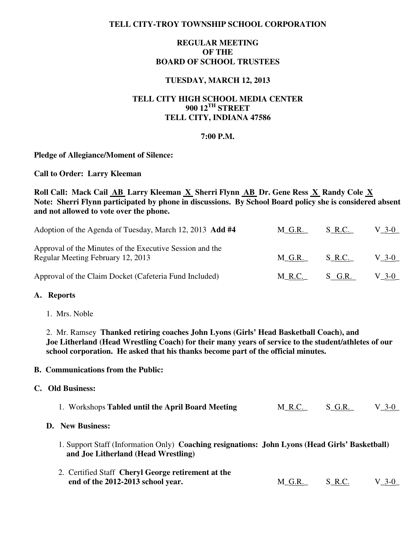## **TELL CITY-TROY TOWNSHIP SCHOOL CORPORATION**

# **REGULAR MEETING OF THE BOARD OF SCHOOL TRUSTEES**

## **TUESDAY, MARCH 12, 2013**

# **TELL CITY HIGH SCHOOL MEDIA CENTER 900 12TH STREET TELL CITY, INDIANA 47586**

### **7:00 P.M.**

### **Pledge of Allegiance/Moment of Silence:**

**Call to Order: Larry Kleeman** 

# Roll Call: Mack Cail AB Larry Kleeman X Sherri Flynn AB Dr. Gene Ress X Randy Cole X **Note: Sherri Flynn participated by phone in discussions. By School Board policy she is considered absent and not allowed to vote over the phone.**

| Adoption of the Agenda of Tuesday, March 12, 2013 Add #4                                      | M G.R. | S R.C.        | $V_{-}3-0$ |
|-----------------------------------------------------------------------------------------------|--------|---------------|------------|
| Approval of the Minutes of the Executive Session and the<br>Regular Meeting February 12, 2013 | M G.R. | S R.C.        | V 3-0      |
| Approval of the Claim Docket (Cafeteria Fund Included)                                        |        | M R.C. S G.R. | $V_3$ -0   |

### **A. Reports**

1. Mrs. Noble

 2. Mr. Ramsey **Thanked retiring coaches John Lyons (Girls' Head Basketball Coach), and Joe Litherland (Head Wrestling Coach) for their many years of service to the student/athletes of our school corporation. He asked that his thanks become part of the official minutes.** 

### **B. Communications from the Public:**

### **C. Old Business:**

| 1. Workshops Tabled until the April Board Meeting | S_G.R.<br>$V_3-0$<br><u>M_R.C.</u> |  |
|---------------------------------------------------|------------------------------------|--|
|---------------------------------------------------|------------------------------------|--|

### **D. New Business:**

- 1. Support Staff (Information Only) **Coaching resignations: John Lyons (Head Girls' Basketball) and Joe Litherland (Head Wrestling)**
- 2. Certified Staff **Cheryl George retirement at the end of the 2012-2013 school year.** M\_G.R. S\_R.C. V\_3-0